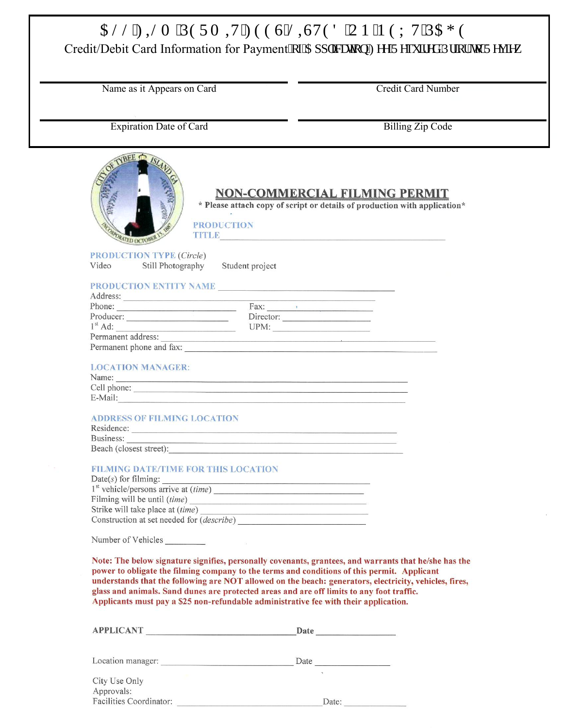## CNN'HINO 'RGTO KV'HGGU'NKJVGF 'QP 'P GZ V'RCI G

Credit/Debit Card Information for Payment"qh'Cr r rkeckqp"Hgg'Tgs wkgf ''Rtkqt''vq'Tgxkgy

Name as it Appears on Card

**Credit Card Number** 

**Expiration Date of Card** 

**Billing Zip Code** 

| <b>YBEE</b> ISL<br><b>NON-COMMERCIAL FILMING PERMIT</b><br>* Please attach copy of script or details of production with application*<br><b>PRODUCTION</b><br>PRADRATED DCTORER<br>TITLE <b>Experimental Contract Contract Contract Contract Contract Contract Contract Contract Contract Contract Contract Contract Contract Contract Contract Contract Contract Contract Contract Contract Contract Contract Cont</b> |
|------------------------------------------------------------------------------------------------------------------------------------------------------------------------------------------------------------------------------------------------------------------------------------------------------------------------------------------------------------------------------------------------------------------------|
| <b>PRODUCTION TYPE (Circle)</b>                                                                                                                                                                                                                                                                                                                                                                                        |
| Video<br>Still Photography<br>Student project                                                                                                                                                                                                                                                                                                                                                                          |
|                                                                                                                                                                                                                                                                                                                                                                                                                        |
| the control of the control of the control of the control of the control of the control of                                                                                                                                                                                                                                                                                                                              |
| Phone: Fax: Fax:                                                                                                                                                                                                                                                                                                                                                                                                       |
| Producer: Director: Director:                                                                                                                                                                                                                                                                                                                                                                                          |
| $1st$ Ad:<br>UPM:                                                                                                                                                                                                                                                                                                                                                                                                      |
| Permanent address:<br>Permanent phone and fax:                                                                                                                                                                                                                                                                                                                                                                         |
|                                                                                                                                                                                                                                                                                                                                                                                                                        |
| <b>LOCATION MANAGER:</b><br>Name:                                                                                                                                                                                                                                                                                                                                                                                      |
|                                                                                                                                                                                                                                                                                                                                                                                                                        |
| E-Mail:                                                                                                                                                                                                                                                                                                                                                                                                                |
| <b>ADDRESS OF FILMING LOCATION</b><br>Residence:<br>Business:                                                                                                                                                                                                                                                                                                                                                          |
| Beach (closest street):                                                                                                                                                                                                                                                                                                                                                                                                |
| <b>FILMING DATE/TIME FOR THIS LOCATION</b>                                                                                                                                                                                                                                                                                                                                                                             |
|                                                                                                                                                                                                                                                                                                                                                                                                                        |
| Filming will be until ( <i>time</i> )<br>Strike will take place at (time)                                                                                                                                                                                                                                                                                                                                              |
| <u>Se provincia de la construcción de la construcción de la construcción de la construcción de la construcción de la</u><br>Construction at set needed for (describe)                                                                                                                                                                                                                                                  |
|                                                                                                                                                                                                                                                                                                                                                                                                                        |
|                                                                                                                                                                                                                                                                                                                                                                                                                        |
| Note: The below signature signifies, personally covenants, grantees, and warrants that he/she has th<br>power to obligate the filming company to the terms and conditions of this permit. Applicant                                                                                                                                                                                                                    |

s the understands that the following are NOT allowed on the beach: generators, electricity, vehicles, fires, glass and animals. Sand dunes are protected areas and are off limits to any foot traffic. Applicants must pay a \$25 non-refundable administrative fee with their application.

| <b>APPLICANT</b>                      | Date   |
|---------------------------------------|--------|
| Location manager:                     | Date   |
| City Use Only                         | $\sim$ |
| Approvals:<br>Facilities Coordinator: | Date:  |